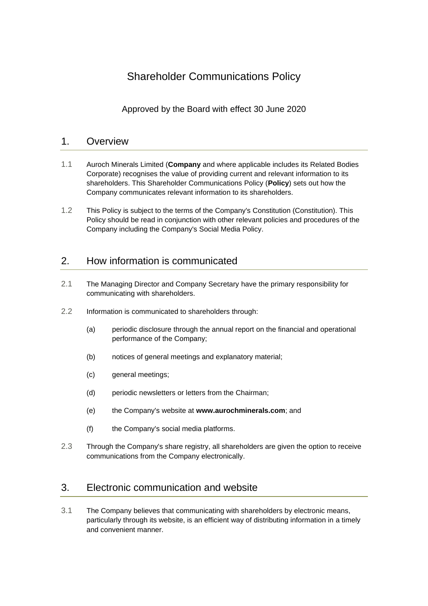# Shareholder Communications Policy

Approved by the Board with effect 30 June 2020

#### 1. Overview

- 1.1 Auroch Minerals Limited (**Company** and where applicable includes its Related Bodies Corporate) recognises the value of providing current and relevant information to its shareholders. This Shareholder Communications Policy (**Policy**) sets out how the Company communicates relevant information to its shareholders.
- 1.2 This Policy is subject to the terms of the Company's Constitution (Constitution). This Policy should be read in conjunction with other relevant policies and procedures of the Company including the Company's Social Media Policy.

## 2. How information is communicated

- 2.1 The Managing Director and Company Secretary have the primary responsibility for communicating with shareholders.
- 2.2 Information is communicated to shareholders through:
	- (a) periodic disclosure through the annual report on the financial and operational performance of the Company;
	- (b) notices of general meetings and explanatory material;
	- (c) general meetings;
	- (d) periodic newsletters or letters from the Chairman;
	- (e) the Company's website at **www.aurochminerals.com**; and
	- (f) the Company's social media platforms.
- 2.3 Through the Company's share registry, all shareholders are given the option to receive communications from the Company electronically.

## 3. Electronic communication and website

3.1 The Company believes that communicating with shareholders by electronic means, particularly through its website, is an efficient way of distributing information in a timely and convenient manner.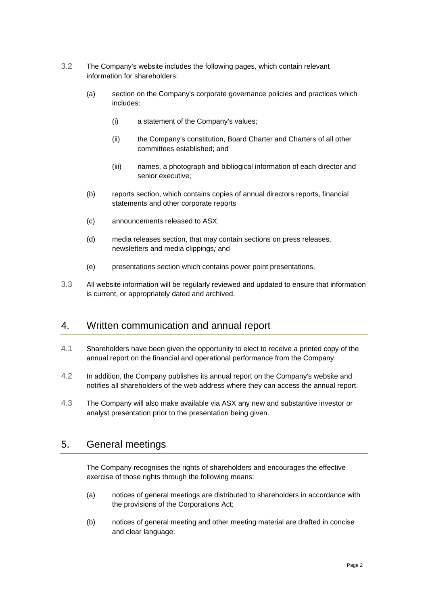- 3.2 The Company's website includes the following pages, which contain relevant information for shareholders:
	- (a) section on the Company's corporate governance policies and practices which includes:
		- (i) a statement of the Company's values;
		- (ii) the Company's constitution, Board Charter and Charters of all other committees established; and
		- (iii) names, a photograph and bibliogical information of each director and senior executive;
	- (b) reports section, which contains copies of annual directors reports, financial statements and other corporate reports
	- (c) announcements released to ASX;
	- (d) media releases section, that may contain sections on press releases, newsletters and media clippings*;* and
	- (e) presentations section which contains power point presentations.
- 3.3 All website information will be regularly reviewed and updated to ensure that information is current, or appropriately dated and archived.

#### 4. Written communication and annual report

- 4.1 Shareholders have been given the opportunity to elect to receive a printed copy of the annual report on the financial and operational performance from the Company.
- 4.2 In addition, the Company publishes its annual report on the Company's website and notifies all shareholders of the web address where they can access the annual report.
- 4.3 The Company will also make available via ASX any new and substantive investor or analyst presentation prior to the presentation being given.

#### 5. General meetings

The Company recognises the rights of shareholders and encourages the effective exercise of those rights through the following means:

- (a) notices of general meetings are distributed to shareholders in accordance with the provisions of the Corporations Act;
- (b) notices of general meeting and other meeting material are drafted in concise and clear language;